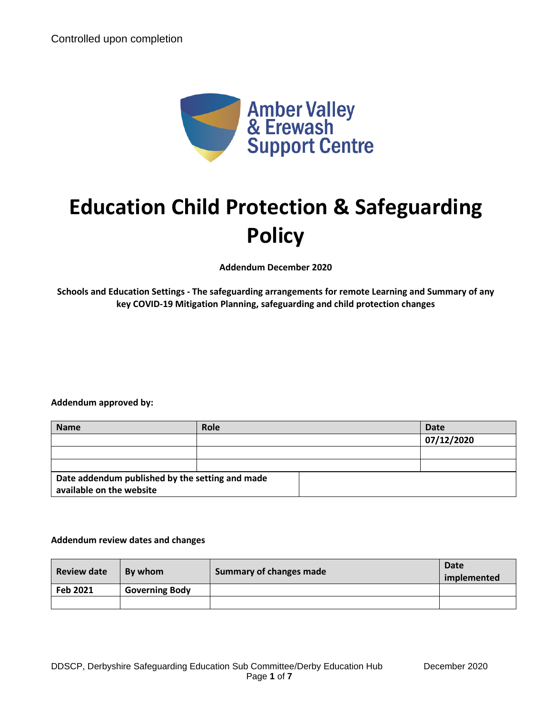

# **Education Child Protection & Safeguarding Policy**

**Addendum December 2020**

**Schools and Education Settings - The safeguarding arrangements for remote Learning and Summary of any key COVID-19 Mitigation Planning, safeguarding and child protection changes**

#### **Addendum approved by:**

| <b>Name</b>                                     | <b>Role</b> | <b>Date</b> |
|-------------------------------------------------|-------------|-------------|
|                                                 |             | 07/12/2020  |
|                                                 |             |             |
|                                                 |             |             |
| Date addendum published by the setting and made |             |             |
| available on the website                        |             |             |

#### **Addendum review dates and changes**

| <b>Review date</b> | By whom               | <b>Summary of changes made</b> | Date<br>implemented |
|--------------------|-----------------------|--------------------------------|---------------------|
| Feb 2021           | <b>Governing Body</b> |                                |                     |
|                    |                       |                                |                     |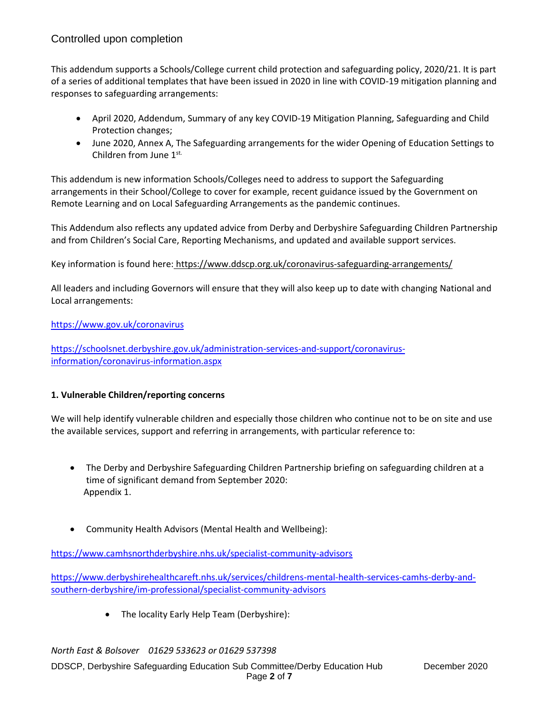This addendum supports a Schools/College current child protection and safeguarding policy, 2020/21. It is part of a series of additional templates that have been issued in 2020 in line with COVID-19 mitigation planning and responses to safeguarding arrangements:

- April 2020, Addendum, Summary of any key COVID-19 Mitigation Planning, Safeguarding and Child Protection changes;
- June 2020, Annex A, The Safeguarding arrangements for the wider Opening of Education Settings to Children from June 1st.

This addendum is new information Schools/Colleges need to address to support the Safeguarding arrangements in their School/College to cover for example, recent guidance issued by the Government on Remote Learning and on Local Safeguarding Arrangements as the pandemic continues.

This Addendum also reflects any updated advice from Derby and Derbyshire Safeguarding Children Partnership and from Children's Social Care, Reporting Mechanisms, and updated and available support services.

## Key information is found here: <https://www.ddscp.org.uk/coronavirus-safeguarding-arrangements/>

All leaders and including Governors will ensure that they will also keep up to date with changing National and Local arrangements:

## <https://www.gov.uk/coronavirus>

[https://schoolsnet.derbyshire.gov.uk/administration-services-and-support/coronavirus](https://schoolsnet.derbyshire.gov.uk/administration-services-and-support/coronavirus-information/coronavirus-information.aspx)[information/coronavirus-information.aspx](https://schoolsnet.derbyshire.gov.uk/administration-services-and-support/coronavirus-information/coronavirus-information.aspx)

## **1. Vulnerable Children/reporting concerns**

We will help identify vulnerable children and especially those children who continue not to be on site and use the available services, support and referring in arrangements, with particular reference to:

- The Derby and Derbyshire Safeguarding Children Partnership briefing on safeguarding children at a time of significant demand from September 2020: Appendix 1.
- Community Health Advisors (Mental Health and Wellbeing):

<https://www.camhsnorthderbyshire.nhs.uk/specialist-community-advisors>

[https://www.derbyshirehealthcareft.nhs.uk/services/childrens-mental-health-services-camhs-derby-and](https://www.derbyshirehealthcareft.nhs.uk/services/childrens-mental-health-services-camhs-derby-and-southern-derbyshire/im-professional/specialist-community-advisors)[southern-derbyshire/im-professional/specialist-community-advisors](https://www.derbyshirehealthcareft.nhs.uk/services/childrens-mental-health-services-camhs-derby-and-southern-derbyshire/im-professional/specialist-community-advisors)

• The locality Early Help Team (Derbyshire):

*North East & Bolsover 01629 533623 or 01629 537398* 

DDSCP, Derbyshire Safeguarding Education Sub Committee/Derby Education Hub December 2020 Page **2** of **7**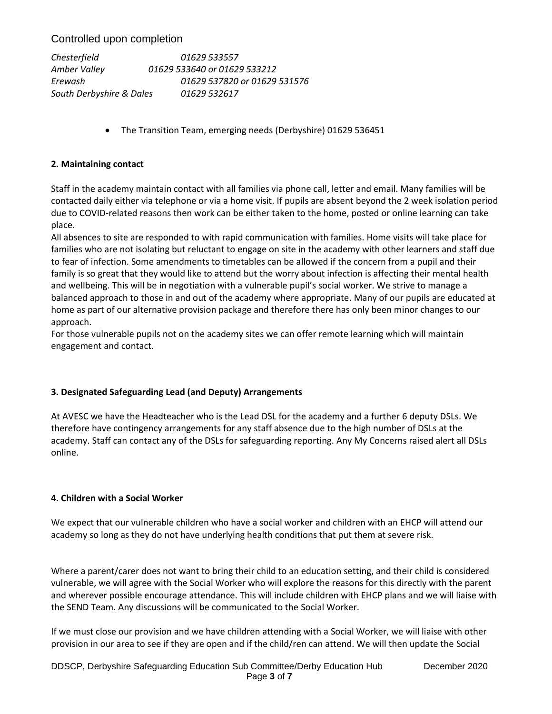*Chesterfield 01629 533557 Amber Valley 01629 533640 or 01629 533212 Erewash 01629 537820 or 01629 531576 South Derbyshire & Dales 01629 532617* 

• The Transition Team, emerging needs (Derbyshire) 01629 536451

#### **2. Maintaining contact**

Staff in the academy maintain contact with all families via phone call, letter and email. Many families will be contacted daily either via telephone or via a home visit. If pupils are absent beyond the 2 week isolation period due to COVID-related reasons then work can be either taken to the home, posted or online learning can take place.

All absences to site are responded to with rapid communication with families. Home visits will take place for families who are not isolating but reluctant to engage on site in the academy with other learners and staff due to fear of infection. Some amendments to timetables can be allowed if the concern from a pupil and their family is so great that they would like to attend but the worry about infection is affecting their mental health and wellbeing. This will be in negotiation with a vulnerable pupil's social worker. We strive to manage a balanced approach to those in and out of the academy where appropriate. Many of our pupils are educated at home as part of our alternative provision package and therefore there has only been minor changes to our approach.

For those vulnerable pupils not on the academy sites we can offer remote learning which will maintain engagement and contact.

#### **3. Designated Safeguarding Lead (and Deputy) Arrangements**

At AVESC we have the Headteacher who is the Lead DSL for the academy and a further 6 deputy DSLs. We therefore have contingency arrangements for any staff absence due to the high number of DSLs at the academy. Staff can contact any of the DSLs for safeguarding reporting. Any My Concerns raised alert all DSLs online.

## **4. Children with a Social Worker**

We expect that our vulnerable children who have a social worker and children with an EHCP will attend our academy so long as they do not have underlying health conditions that put them at severe risk.

Where a parent/carer does not want to bring their child to an education setting, and their child is considered vulnerable, we will agree with the Social Worker who will explore the reasons for this directly with the parent and wherever possible encourage attendance. This will include children with EHCP plans and we will liaise with the SEND Team. Any discussions will be communicated to the Social Worker.

If we must close our provision and we have children attending with a Social Worker, we will liaise with other provision in our area to see if they are open and if the child/ren can attend. We will then update the Social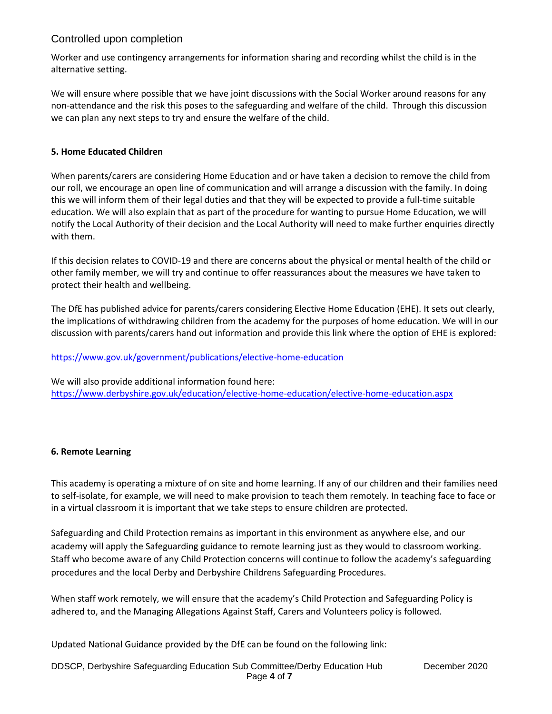Worker and use contingency arrangements for information sharing and recording whilst the child is in the alternative setting.

We will ensure where possible that we have joint discussions with the Social Worker around reasons for any non-attendance and the risk this poses to the safeguarding and welfare of the child. Through this discussion we can plan any next steps to try and ensure the welfare of the child.

## **5. Home Educated Children**

When parents/carers are considering Home Education and or have taken a decision to remove the child from our roll, we encourage an open line of communication and will arrange a discussion with the family. In doing this we will inform them of their legal duties and that they will be expected to provide a full-time suitable education. We will also explain that as part of the procedure for wanting to pursue Home Education, we will notify the Local Authority of their decision and the Local Authority will need to make further enquiries directly with them.

If this decision relates to COVID-19 and there are concerns about the physical or mental health of the child or other family member, we will try and continue to offer reassurances about the measures we have taken to protect their health and wellbeing.

The DfE has published advice for parents/carers considering Elective Home Education (EHE). It sets out clearly, the implications of withdrawing children from the academy for the purposes of home education. We will in our discussion with parents/carers hand out information and provide this link where the option of EHE is explored:

## <https://www.gov.uk/government/publications/elective-home-education>

We will also provide additional information found here: <https://www.derbyshire.gov.uk/education/elective-home-education/elective-home-education.aspx>

## **6. Remote Learning**

This academy is operating a mixture of on site and home learning. If any of our children and their families need to self-isolate, for example, we will need to make provision to teach them remotely. In teaching face to face or in a virtual classroom it is important that we take steps to ensure children are protected.

Safeguarding and Child Protection remains as important in this environment as anywhere else, and our academy will apply the Safeguarding guidance to remote learning just as they would to classroom working. Staff who become aware of any Child Protection concerns will continue to follow the academy's safeguarding procedures and the local Derby and Derbyshire Childrens Safeguarding Procedures.

When staff work remotely, we will ensure that the academy's Child Protection and Safeguarding Policy is adhered to, and the Managing Allegations Against Staff, Carers and Volunteers policy is followed.

Updated National Guidance provided by the DfE can be found on the following link:

DDSCP, Derbyshire Safeguarding Education Sub Committee/Derby Education Hub December 2020 Page **4** of **7**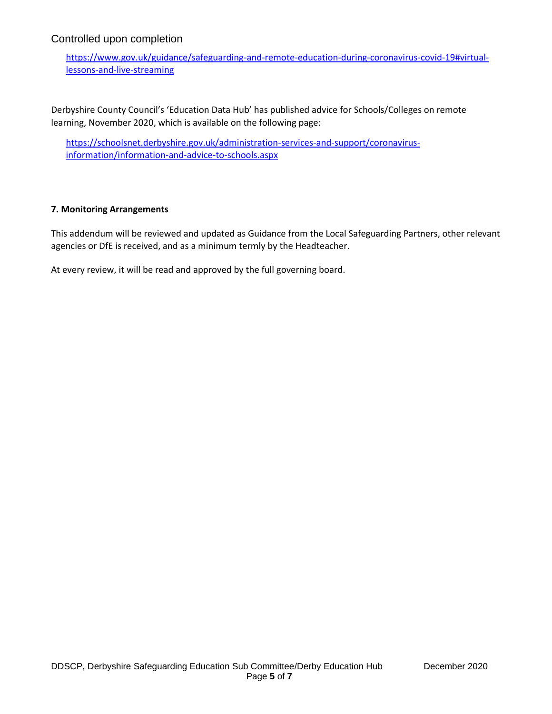[https://www.gov.uk/guidance/safeguarding-and-remote-education-during-coronavirus-covid-19#virtual](https://www.gov.uk/guidance/safeguarding-and-remote-education-during-coronavirus-covid-19#virtual-lessons-and-live-streaming)[lessons-and-live-streaming](https://www.gov.uk/guidance/safeguarding-and-remote-education-during-coronavirus-covid-19#virtual-lessons-and-live-streaming)

Derbyshire County Council's 'Education Data Hub' has published advice for Schools/Colleges on remote learning, November 2020, which is available on the following page:

[https://schoolsnet.derbyshire.gov.uk/administration-services-and-support/coronavirus](https://schoolsnet.derbyshire.gov.uk/administration-services-and-support/coronavirus-information/information-and-advice-to-schools.aspx)[information/information-and-advice-to-schools.aspx](https://schoolsnet.derbyshire.gov.uk/administration-services-and-support/coronavirus-information/information-and-advice-to-schools.aspx)

#### **7. Monitoring Arrangements**

This addendum will be reviewed and updated as Guidance from the Local Safeguarding Partners, other relevant agencies or DfE is received, and as a minimum termly by the Headteacher.

At every review, it will be read and approved by the full governing board.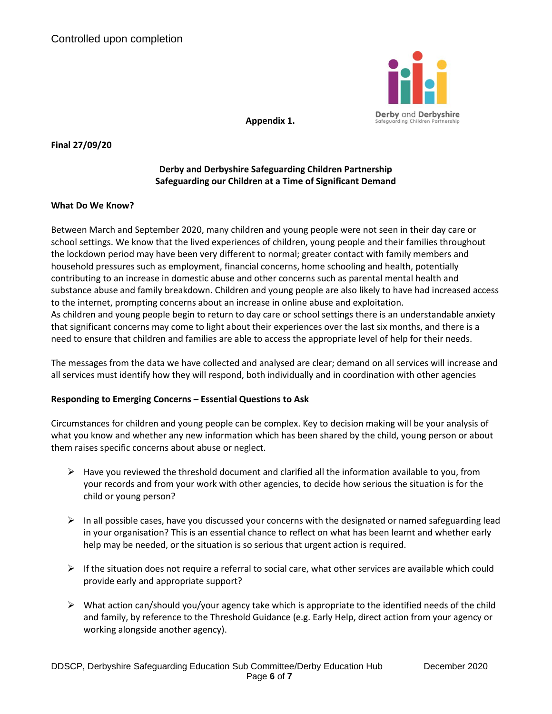

**Appendix 1.**

#### **Final 27/09/20**

## **Derby and Derbyshire Safeguarding Children Partnership Safeguarding our Children at a Time of Significant Demand**

#### **What Do We Know?**

Between March and September 2020, many children and young people were not seen in their day care or school settings. We know that the lived experiences of children, young people and their families throughout the lockdown period may have been very different to normal; greater contact with family members and household pressures such as employment, financial concerns, home schooling and health, potentially contributing to an increase in domestic abuse and other concerns such as parental mental health and substance abuse and family breakdown. Children and young people are also likely to have had increased access to the internet, prompting concerns about an increase in online abuse and exploitation. As children and young people begin to return to day care or school settings there is an understandable anxiety that significant concerns may come to light about their experiences over the last six months, and there is a need to ensure that children and families are able to access the appropriate level of help for their needs.

The messages from the data we have collected and analysed are clear; demand on all services will increase and all services must identify how they will respond, both individually and in coordination with other agencies

#### **Responding to Emerging Concerns – Essential Questions to Ask**

Circumstances for children and young people can be complex. Key to decision making will be your analysis of what you know and whether any new information which has been shared by the child, young person or about them raises specific concerns about abuse or neglect.

- $\triangleright$  Have you reviewed the threshold document and clarified all the information available to you, from your records and from your work with other agencies, to decide how serious the situation is for the child or young person?
- $\triangleright$  In all possible cases, have you discussed your concerns with the designated or named safeguarding lead in your organisation? This is an essential chance to reflect on what has been learnt and whether early help may be needed, or the situation is so serious that urgent action is required.
- $\triangleright$  If the situation does not require a referral to social care, what other services are available which could provide early and appropriate support?
- $\triangleright$  What action can/should you/your agency take which is appropriate to the identified needs of the child and family, by reference to the Threshold Guidance (e.g. Early Help, direct action from your agency or working alongside another agency).